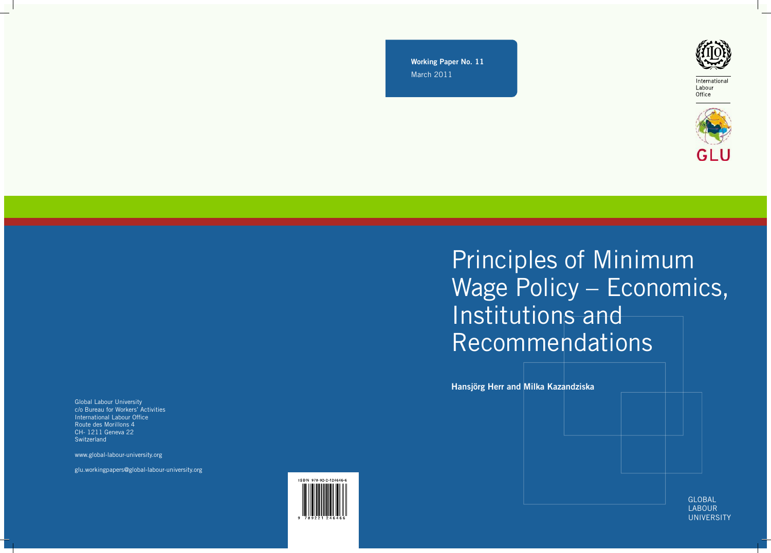Working Paper No. 11 March 2011



International Labour Office



# Principles of Minimum Wage Policy – Economics, Institutions and Recommendations

Hansjörg Herr and Milka Kazandziska

GLOBAL LABOUR **UNIVERSITY**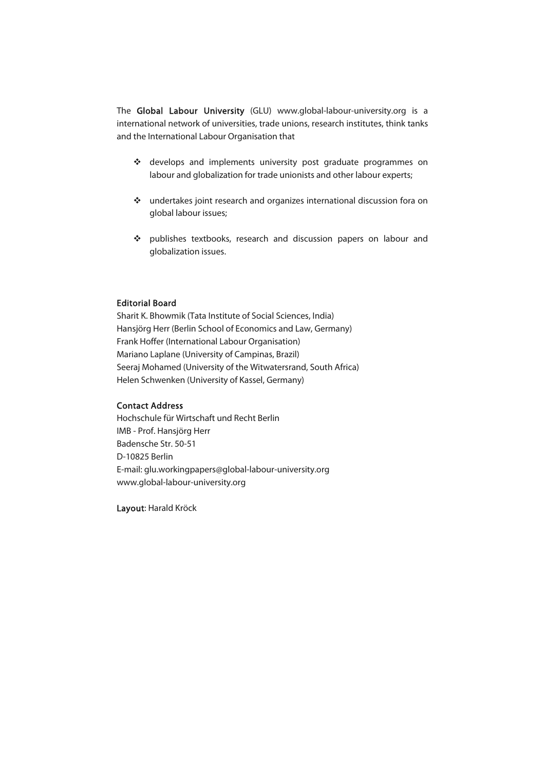The Global Labour University (GLU) www.global-labour-university.org is a international network of universities, trade unions, research institutes, think tanks and the International Labour Organisation that

- \* develops and implements university post graduate programmes on labour and globalization for trade unionists and other labour experts;
- undertakes joint research and organizes international discussion fora on global labour issues;
- publishes textbooks, research and discussion papers on labour and globalization issues.

#### Editorial Board

Sharit K. Bhowmik (Tata Institute of Social Sciences, India) Hansjörg Herr (Berlin School of Economics and Law, Germany) Frank Hoffer (International Labour Organisation) Mariano Laplane (University of Campinas, Brazil) Seeraj Mohamed (University of the Witwatersrand, South Africa) Helen Schwenken (University of Kassel, Germany)

#### Contact Address

Hochschule für Wirtschaft und Recht Berlin IMB - Prof. Hansjörg Herr Badensche Str. 50-51 D-10825 Berlin E-mail: glu.workingpapers@global-labour-university.org www.global-labour-university.org

Layout: Harald Kröck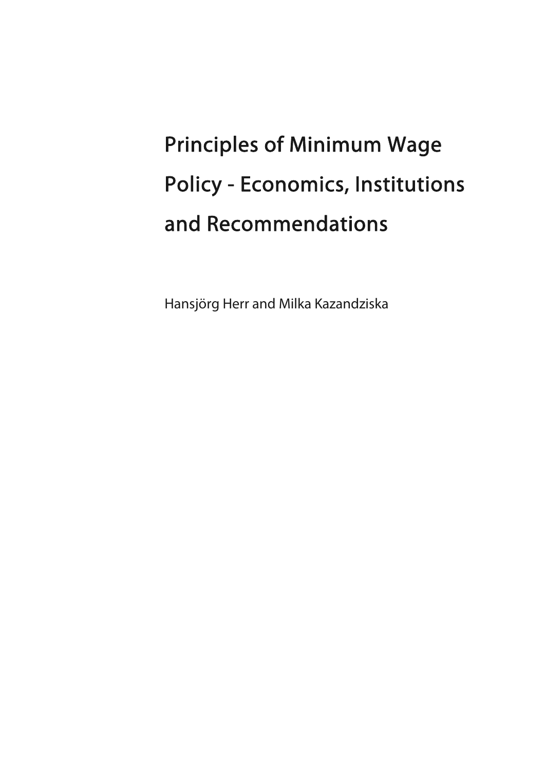# Principles of Minimum Wage Policy - Economics, Institutions and Recommendations

Hansjörg Herr and Milka Kazandziska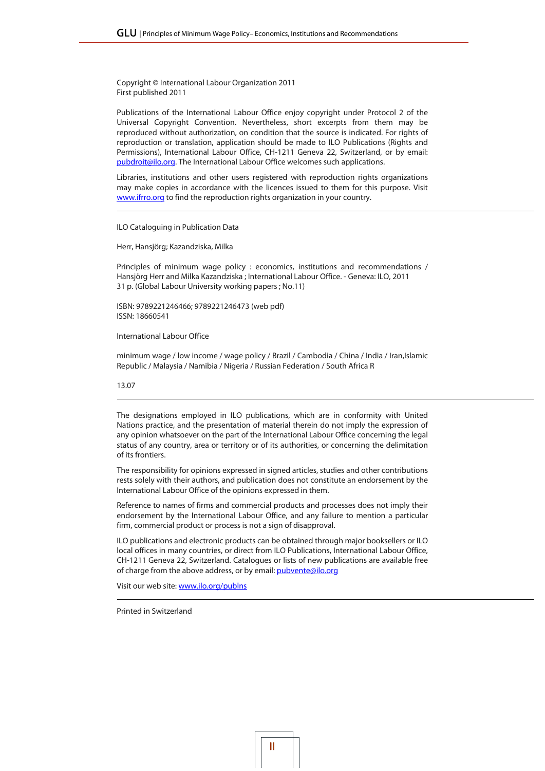Copyright © International Labour Organization 2011 First published 2011

Publications of the International Labour Office enjoy copyright under Protocol 2 of the Universal Copyright Convention. Nevertheless, short excerpts from them may be reproduced without authorization, on condition that the source is indicated. For rights of reproduction or translation, application should be made to ILO Publications (Rights and Permissions), International Labour Office, CH-1211 Geneva 22, Switzerland, or by email: pubdroit@ilo.org. The International Labour Office welcomes such applications.

Libraries, institutions and other users registered with reproduction rights organizations may make copies in accordance with the licences issued to them for this purpose. Visit www.ifrro.org to find the reproduction rights organization in your country.

ILO Cataloguing in Publication Data

Herr, Hansjörg; Kazandziska, Milka

Principles of minimum wage policy : economics, institutions and recommendations / Hansjörg Herr and Milka Kazandziska ; International Labour Office. - Geneva: ILO, 2011 31 p. (Global Labour University working papers ; No.11)

ISBN: 9789221246466; 9789221246473 (web pdf) ISSN: 18660541

International Labour Office

minimum wage / low income / wage policy / Brazil / Cambodia / China / India / Iran,Islamic Republic / Malaysia / Namibia / Nigeria / Russian Federation / South Africa R

13.07

The designations employed in ILO publications, which are in conformity with United Nations practice, and the presentation of material therein do not imply the expression of any opinion whatsoever on the part of the International Labour Office concerning the legal status of any country, area or territory or of its authorities, or concerning the delimitation of its frontiers.

The responsibility for opinions expressed in signed articles, studies and other contributions rests solely with their authors, and publication does not constitute an endorsement by the International Labour Office of the opinions expressed in them.

Reference to names of firms and commercial products and processes does not imply their endorsement by the International Labour Office, and any failure to mention a particular firm, commercial product or process is not a sign of disapproval.

ILO publications and electronic products can be obtained through major booksellers or ILO local offices in many countries, or direct from ILO Publications, International Labour Office, CH-1211 Geneva 22, Switzerland. Catalogues or lists of new publications are available free of charge from the above address, or by email: pubvente@ilo.org

Visit our web site: www.ilo.org/publns

Printed in Switzerland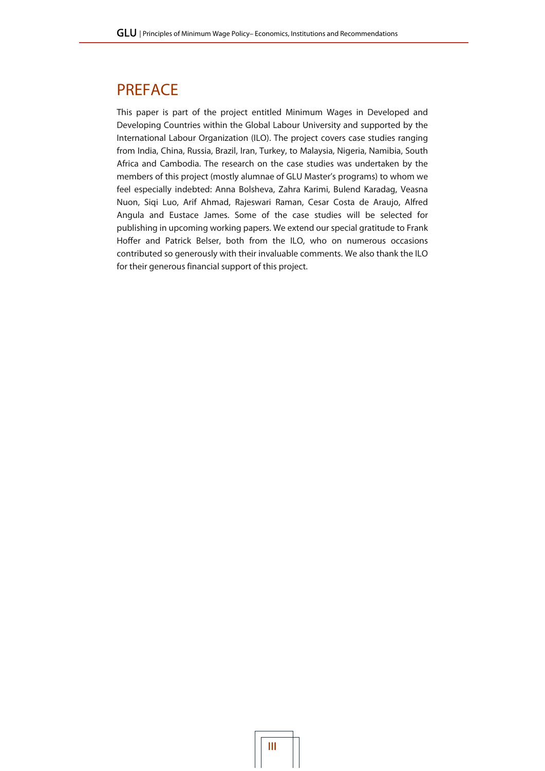## PREFACE

This paper is part of the project entitled Minimum Wages in Developed and Developing Countries within the Global Labour University and supported by the International Labour Organization (ILO). The project covers case studies ranging from India, China, Russia, Brazil, Iran, Turkey, to Malaysia, Nigeria, Namibia, South Africa and Cambodia. The research on the case studies was undertaken by the members of this project (mostly alumnae of GLU Master's programs) to whom we feel especially indebted: Anna Bolsheva, Zahra Karimi, Bulend Karadag, Veasna Nuon, Siqi Luo, Arif Ahmad, Rajeswari Raman, Cesar Costa de Araujo, Alfred Angula and Eustace James. Some of the case studies will be selected for publishing in upcoming working papers. We extend our special gratitude to Frank Hoffer and Patrick Belser, both from the ILO, who on numerous occasions contributed so generously with their invaluable comments. We also thank the ILO for their generous financial support of this project.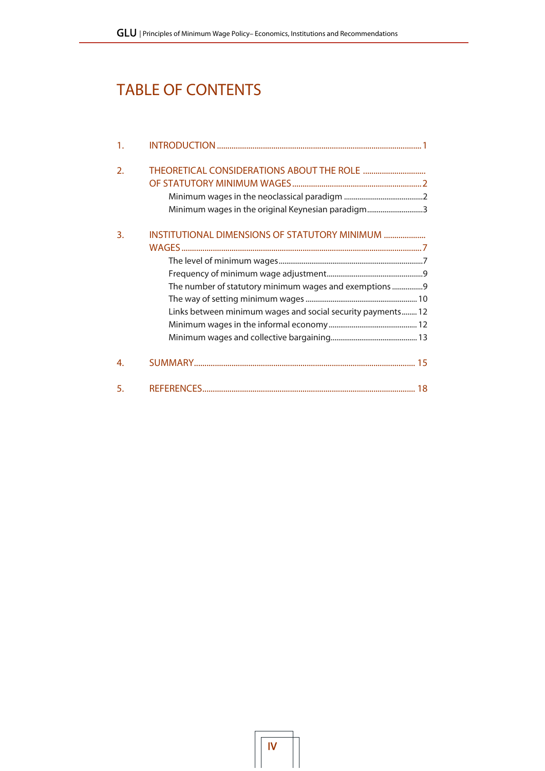# TABLE OF CONTENTS

| $\mathbf{1}$ .   |                                                                                                                                                                        |
|------------------|------------------------------------------------------------------------------------------------------------------------------------------------------------------------|
| $\overline{2}$ . | Minimum wages in the original Keynesian paradigm3                                                                                                                      |
| 3.               | INSTITUTIONAL DIMENSIONS OF STATUTORY MINIMUM<br>The number of statutory minimum wages and exemptions 9<br>Links between minimum wages and social security payments 12 |
| 4.               |                                                                                                                                                                        |
| 5.               |                                                                                                                                                                        |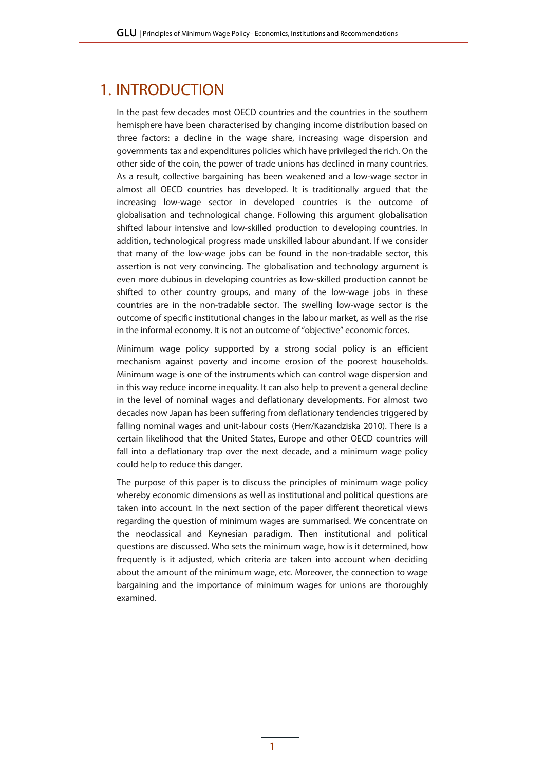## 1. INTRODUCTION

In the past few decades most OECD countries and the countries in the southern hemisphere have been characterised by changing income distribution based on three factors: a decline in the wage share, increasing wage dispersion and governments tax and expenditures policies which have privileged the rich. On the other side of the coin, the power of trade unions has declined in many countries. As a result, collective bargaining has been weakened and a low-wage sector in almost all OECD countries has developed. It is traditionally argued that the increasing low-wage sector in developed countries is the outcome of globalisation and technological change. Following this argument globalisation shifted labour intensive and low-skilled production to developing countries. In addition, technological progress made unskilled labour abundant. If we consider that many of the low-wage jobs can be found in the non-tradable sector, this assertion is not very convincing. The globalisation and technology argument is even more dubious in developing countries as low-skilled production cannot be shifted to other country groups, and many of the low-wage jobs in these countries are in the non-tradable sector. The swelling low-wage sector is the outcome of specific institutional changes in the labour market, as well as the rise in the informal economy. It is not an outcome of "objective" economic forces.

Minimum wage policy supported by a strong social policy is an efficient mechanism against poverty and income erosion of the poorest households. Minimum wage is one of the instruments which can control wage dispersion and in this way reduce income inequality. It can also help to prevent a general decline in the level of nominal wages and deflationary developments. For almost two decades now Japan has been suffering from deflationary tendencies triggered by falling nominal wages and unit-labour costs (Herr/Kazandziska 2010). There is a certain likelihood that the United States, Europe and other OECD countries will fall into a deflationary trap over the next decade, and a minimum wage policy could help to reduce this danger.

The purpose of this paper is to discuss the principles of minimum wage policy whereby economic dimensions as well as institutional and political questions are taken into account. In the next section of the paper different theoretical views regarding the question of minimum wages are summarised. We concentrate on the neoclassical and Keynesian paradigm. Then institutional and political questions are discussed. Who sets the minimum wage, how is it determined, how frequently is it adjusted, which criteria are taken into account when deciding about the amount of the minimum wage, etc. Moreover, the connection to wage bargaining and the importance of minimum wages for unions are thoroughly examined.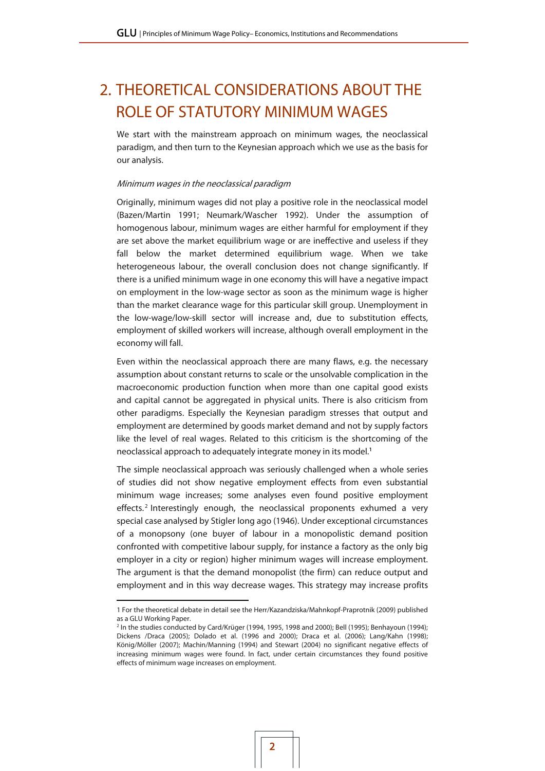## 2. THEORETICAL CONSIDERATIONS ABOUT THE ROLE OF STATUTORY MINIMUM WAGES

We start with the mainstream approach on minimum wages, the neoclassical paradigm, and then turn to the Keynesian approach which we use as the basis for our analysis.

#### Minimum wages in the neoclassical paradigm

Originally, minimum wages did not play a positive role in the neoclassical model (Bazen/Martin 1991; Neumark/Wascher 1992). Under the assumption of homogenous labour, minimum wages are either harmful for employment if they are set above the market equilibrium wage or are ineffective and useless if they fall below the market determined equilibrium wage. When we take heterogeneous labour, the overall conclusion does not change significantly. If there is a unified minimum wage in one economy this will have a negative impact on employment in the low-wage sector as soon as the minimum wage is higher than the market clearance wage for this particular skill group. Unemployment in the low-wage/low-skill sector will increase and, due to substitution effects, employment of skilled workers will increase, although overall employment in the economy will fall.

Even within the neoclassical approach there are many flaws, e.g. the necessary assumption about constant returns to scale or the unsolvable complication in the macroeconomic production function when more than one capital good exists and capital cannot be aggregated in physical units. There is also criticism from other paradigms. Especially the Keynesian paradigm stresses that output and employment are determined by goods market demand and not by supply factors like the level of real wages. Related to this criticism is the shortcoming of the neoclassical approach to adequately integrate money in its model.1

The simple neoclassical approach was seriously challenged when a whole series of studies did not show negative employment effects from even substantial minimum wage increases; some analyses even found positive employment effects.<sup>2</sup> Interestingly enough, the neoclassical proponents exhumed a very special case analysed by Stigler long ago (1946). Under exceptional circumstances of a monopsony (one buyer of labour in a monopolistic demand position confronted with competitive labour supply, for instance a factory as the only big employer in a city or region) higher minimum wages will increase employment. The argument is that the demand monopolist (the firm) can reduce output and employment and in this way decrease wages. This strategy may increase profits

 $\overline{a}$ 

<sup>1</sup> For the theoretical debate in detail see the Herr/Kazandziska/Mahnkopf-Praprotnik (2009) published as a GLU Working Paper.

<sup>2</sup> In the studies conducted by Card/Krüger (1994, 1995, 1998 and 2000); Bell (1995); Benhayoun (1994); Dickens /Draca (2005); Dolado et al. (1996 and 2000); Draca et al. (2006); Lang/Kahn (1998); König/Möller (2007); Machin/Manning (1994) and Stewart (2004) no significant negative effects of increasing minimum wages were found. In fact, under certain circumstances they found positive effects of minimum wage increases on employment.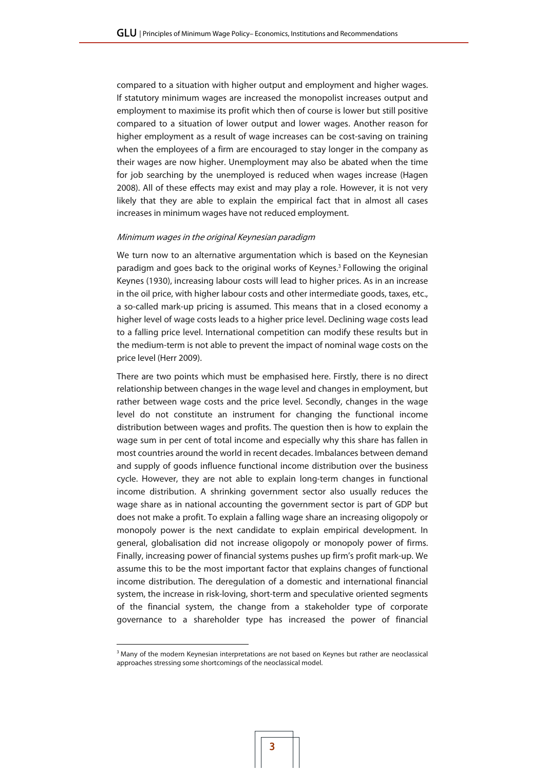compared to a situation with higher output and employment and higher wages. If statutory minimum wages are increased the monopolist increases output and employment to maximise its profit which then of course is lower but still positive compared to a situation of lower output and lower wages. Another reason for higher employment as a result of wage increases can be cost-saving on training when the employees of a firm are encouraged to stay longer in the company as their wages are now higher. Unemployment may also be abated when the time for job searching by the unemployed is reduced when wages increase (Hagen 2008). All of these effects may exist and may play a role. However, it is not very likely that they are able to explain the empirical fact that in almost all cases increases in minimum wages have not reduced employment.

#### Minimum wages in the original Keynesian paradigm

We turn now to an alternative argumentation which is based on the Keynesian paradigm and goes back to the original works of Keynes.<sup>3</sup> Following the original Keynes (1930), increasing labour costs will lead to higher prices. As in an increase in the oil price, with higher labour costs and other intermediate goods, taxes, etc., a so-called mark-up pricing is assumed. This means that in a closed economy a higher level of wage costs leads to a higher price level. Declining wage costs lead to a falling price level. International competition can modify these results but in the medium-term is not able to prevent the impact of nominal wage costs on the price level (Herr 2009).

There are two points which must be emphasised here. Firstly, there is no direct relationship between changes in the wage level and changes in employment, but rather between wage costs and the price level. Secondly, changes in the wage level do not constitute an instrument for changing the functional income distribution between wages and profits. The question then is how to explain the wage sum in per cent of total income and especially why this share has fallen in most countries around the world in recent decades. Imbalances between demand and supply of goods influence functional income distribution over the business cycle. However, they are not able to explain long-term changes in functional income distribution. A shrinking government sector also usually reduces the wage share as in national accounting the government sector is part of GDP but does not make a profit. To explain a falling wage share an increasing oligopoly or monopoly power is the next candidate to explain empirical development. In general, globalisation did not increase oligopoly or monopoly power of firms. Finally, increasing power of financial systems pushes up firm's profit mark-up. We assume this to be the most important factor that explains changes of functional income distribution. The deregulation of a domestic and international financial system, the increase in risk-loving, short-term and speculative oriented segments of the financial system, the change from a stakeholder type of corporate governance to a shareholder type has increased the power of financial

 $\overline{a}$ 

<sup>&</sup>lt;sup>3</sup> Many of the modern Keynesian interpretations are not based on Keynes but rather are neoclassical approaches stressing some shortcomings of the neoclassical model.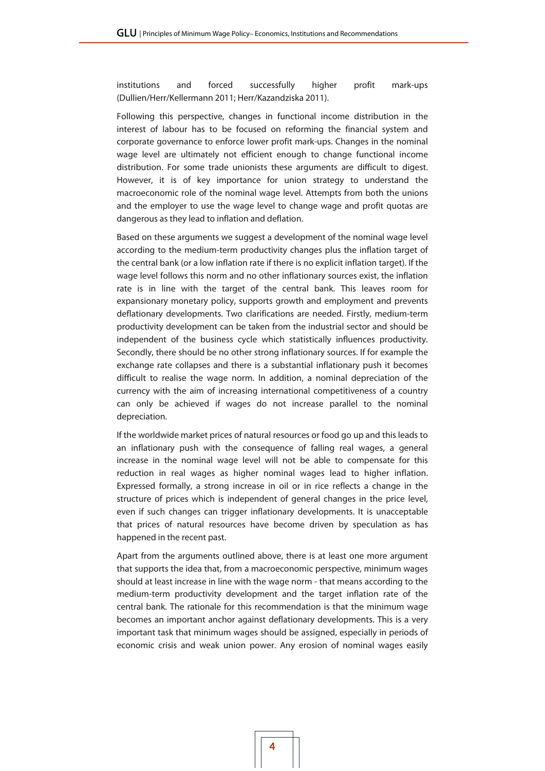institutions and forced successfully higher profit mark-ups (Dullien/Herr/Kellermann 2011; Herr/Kazandziska 2011).

Following this perspective, changes in functional income distribution in the interest of labour has to be focused on reforming the financial system and corporate governance to enforce lower profit mark-ups. Changes in the nominal wage level are ultimately not efficient enough to change functional income distribution. For some trade unionists these arguments are difficult to digest. However, it is of key importance for union strategy to understand the macroeconomic role of the nominal wage level. Attempts from both the unions and the employer to use the wage level to change wage and profit quotas are dangerous as they lead to inflation and deflation.

Based on these arguments we suggest a development of the nominal wage level according to the medium-term productivity changes plus the inflation target of the central bank (or a low inflation rate if there is no explicit inflation target). If the wage level follows this norm and no other inflationary sources exist, the inflation rate is in line with the target of the central bank. This leaves room for expansionary monetary policy, supports growth and employment and prevents deflationary developments. Two clarifications are needed. Firstly, medium-term productivity development can be taken from the industrial sector and should be independent of the business cycle which statistically influences productivity. Secondly, there should be no other strong inflationary sources. If for example the exchange rate collapses and there is a substantial inflationary push it becomes difficult to realise the wage norm. In addition, a nominal depreciation of the currency with the aim of increasing international competitiveness of a country can only be achieved if wages do not increase parallel to the nominal depreciation.

If the worldwide market prices of natural resources or food go up and this leads to an inflationary push with the consequence of falling real wages, a general increase in the nominal wage level will not be able to compensate for this reduction in real wages as higher nominal wages lead to higher inflation. Expressed formally, a strong increase in oil or in rice reflects a change in the structure of prices which is independent of general changes in the price level, even if such changes can trigger inflationary developments. It is unacceptable that prices of natural resources have become driven by speculation as has happened in the recent past.

Apart from the arguments outlined above, there is at least one more argument that supports the idea that, from a macroeconomic perspective, minimum wages should at least increase in line with the wage norm - that means according to the medium-term productivity development and the target inflation rate of the central bank. The rationale for this recommendation is that the minimum wage becomes an important anchor against deflationary developments. This is a very important task that minimum wages should be assigned, especially in periods of economic crisis and weak union power. Any erosion of nominal wages easily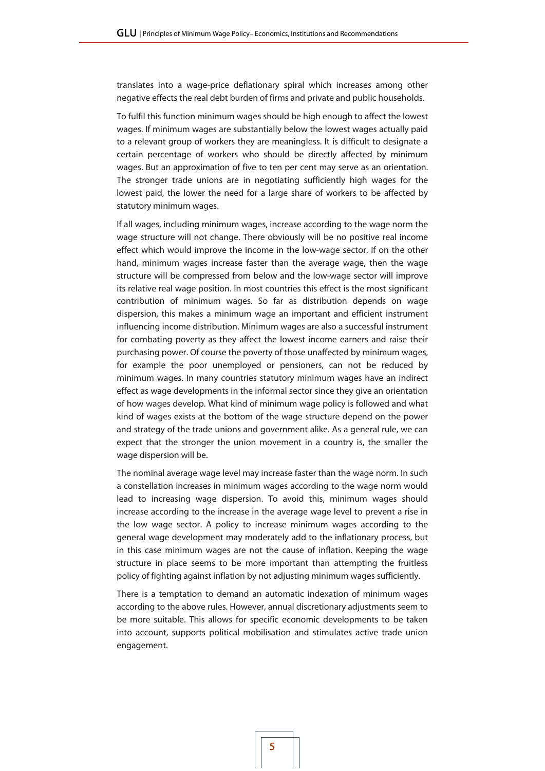translates into a wage-price deflationary spiral which increases among other negative effects the real debt burden of firms and private and public households.

To fulfil this function minimum wages should be high enough to affect the lowest wages. If minimum wages are substantially below the lowest wages actually paid to a relevant group of workers they are meaningless. It is difficult to designate a certain percentage of workers who should be directly affected by minimum wages. But an approximation of five to ten per cent may serve as an orientation. The stronger trade unions are in negotiating sufficiently high wages for the lowest paid, the lower the need for a large share of workers to be affected by statutory minimum wages.

If all wages, including minimum wages, increase according to the wage norm the wage structure will not change. There obviously will be no positive real income effect which would improve the income in the low-wage sector. If on the other hand, minimum wages increase faster than the average wage, then the wage structure will be compressed from below and the low-wage sector will improve its relative real wage position. In most countries this effect is the most significant contribution of minimum wages. So far as distribution depends on wage dispersion, this makes a minimum wage an important and efficient instrument influencing income distribution. Minimum wages are also a successful instrument for combating poverty as they affect the lowest income earners and raise their purchasing power. Of course the poverty of those unaffected by minimum wages, for example the poor unemployed or pensioners, can not be reduced by minimum wages. In many countries statutory minimum wages have an indirect effect as wage developments in the informal sector since they give an orientation of how wages develop. What kind of minimum wage policy is followed and what kind of wages exists at the bottom of the wage structure depend on the power and strategy of the trade unions and government alike. As a general rule, we can expect that the stronger the union movement in a country is, the smaller the wage dispersion will be.

The nominal average wage level may increase faster than the wage norm. In such a constellation increases in minimum wages according to the wage norm would lead to increasing wage dispersion. To avoid this, minimum wages should increase according to the increase in the average wage level to prevent a rise in the low wage sector. A policy to increase minimum wages according to the general wage development may moderately add to the inflationary process, but in this case minimum wages are not the cause of inflation. Keeping the wage structure in place seems to be more important than attempting the fruitless policy of fighting against inflation by not adjusting minimum wages sufficiently.

There is a temptation to demand an automatic indexation of minimum wages according to the above rules. However, annual discretionary adjustments seem to be more suitable. This allows for specific economic developments to be taken into account, supports political mobilisation and stimulates active trade union engagement.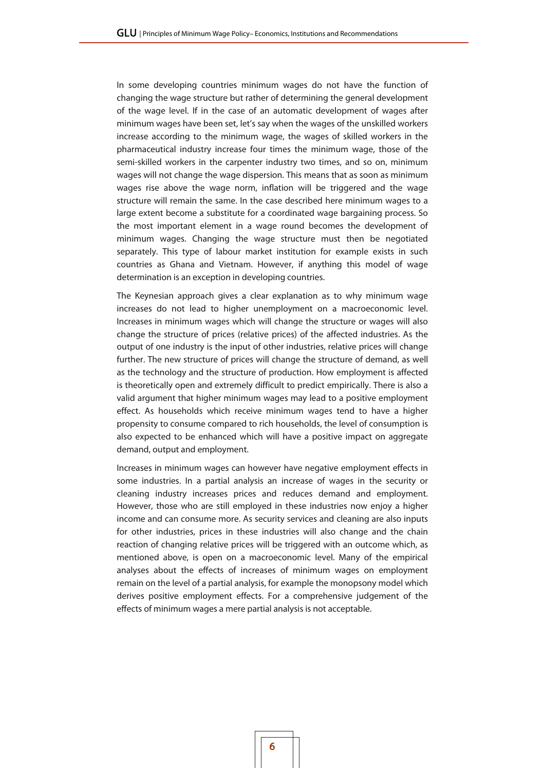In some developing countries minimum wages do not have the function of changing the wage structure but rather of determining the general development of the wage level. If in the case of an automatic development of wages after minimum wages have been set, let's say when the wages of the unskilled workers increase according to the minimum wage, the wages of skilled workers in the pharmaceutical industry increase four times the minimum wage, those of the semi-skilled workers in the carpenter industry two times, and so on, minimum wages will not change the wage dispersion. This means that as soon as minimum wages rise above the wage norm, inflation will be triggered and the wage structure will remain the same. In the case described here minimum wages to a large extent become a substitute for a coordinated wage bargaining process. So the most important element in a wage round becomes the development of minimum wages. Changing the wage structure must then be negotiated separately. This type of labour market institution for example exists in such countries as Ghana and Vietnam. However, if anything this model of wage determination is an exception in developing countries.

The Keynesian approach gives a clear explanation as to why minimum wage increases do not lead to higher unemployment on a macroeconomic level. Increases in minimum wages which will change the structure or wages will also change the structure of prices (relative prices) of the affected industries. As the output of one industry is the input of other industries, relative prices will change further. The new structure of prices will change the structure of demand, as well as the technology and the structure of production. How employment is affected is theoretically open and extremely difficult to predict empirically. There is also a valid argument that higher minimum wages may lead to a positive employment effect. As households which receive minimum wages tend to have a higher propensity to consume compared to rich households, the level of consumption is also expected to be enhanced which will have a positive impact on aggregate demand, output and employment.

Increases in minimum wages can however have negative employment effects in some industries. In a partial analysis an increase of wages in the security or cleaning industry increases prices and reduces demand and employment. However, those who are still employed in these industries now enjoy a higher income and can consume more. As security services and cleaning are also inputs for other industries, prices in these industries will also change and the chain reaction of changing relative prices will be triggered with an outcome which, as mentioned above, is open on a macroeconomic level. Many of the empirical analyses about the effects of increases of minimum wages on employment remain on the level of a partial analysis, for example the monopsony model which derives positive employment effects. For a comprehensive judgement of the effects of minimum wages a mere partial analysis is not acceptable.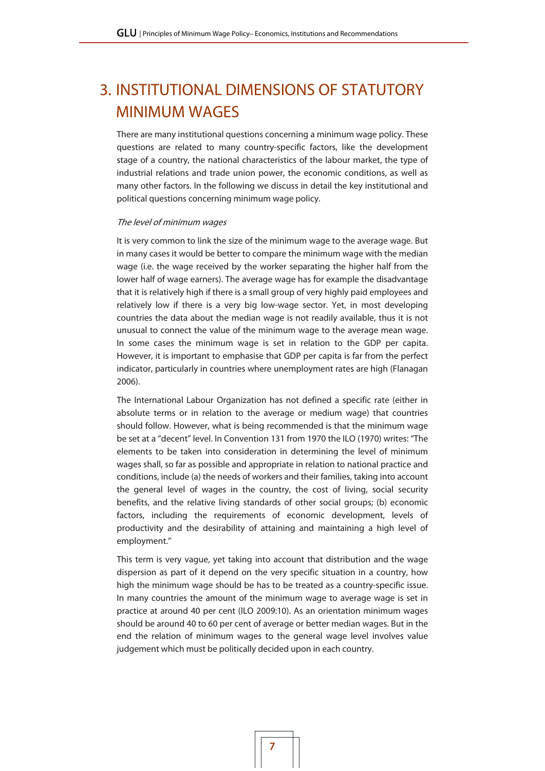## 3. INSTITUTIONAL DIMENSIONS OF STATUTORY MINIMUM WAGES

There are many institutional questions concerning a minimum wage policy. These questions are related to many country-specific factors, like the development stage of a country, the national characteristics of the labour market, the type of industrial relations and trade union power, the economic conditions, as well as many other factors. In the following we discuss in detail the key institutional and political questions concerning minimum wage policy.

#### The level of minimum wages

It is very common to link the size of the minimum wage to the average wage. But in many cases it would be better to compare the minimum wage with the median wage (i.e. the wage received by the worker separating the higher half from the lower half of wage earners). The average wage has for example the disadvantage that it is relatively high if there is a small group of very highly paid employees and relatively low if there is a very big low-wage sector. Yet, in most developing countries the data about the median wage is not readily available, thus it is not unusual to connect the value of the minimum wage to the average mean wage. In some cases the minimum wage is set in relation to the GDP per capita. However, it is important to emphasise that GDP per capita is far from the perfect indicator, particularly in countries where unemployment rates are high (Flanagan 2006).

The International Labour Organization has not defined a specific rate (either in absolute terms or in relation to the average or medium wage) that countries should follow. However, what is being recommended is that the minimum wage be set at a "decent" level. In Convention 131 from 1970 the ILO (1970) writes: "The elements to be taken into consideration in determining the level of minimum wages shall, so far as possible and appropriate in relation to national practice and conditions, include (a) the needs of workers and their families, taking into account the general level of wages in the country, the cost of living, social security benefits, and the relative living standards of other social groups; (b) economic factors, including the requirements of economic development, levels of productivity and the desirability of attaining and maintaining a high level of employment."

This term is very vague, yet taking into account that distribution and the wage dispersion as part of it depend on the very specific situation in a country, how high the minimum wage should be has to be treated as a country-specific issue. In many countries the amount of the minimum wage to average wage is set in practice at around 40 per cent (ILO 2009:10). As an orientation minimum wages should be around 40 to 60 per cent of average or better median wages. But in the end the relation of minimum wages to the general wage level involves value judgement which must be politically decided upon in each country.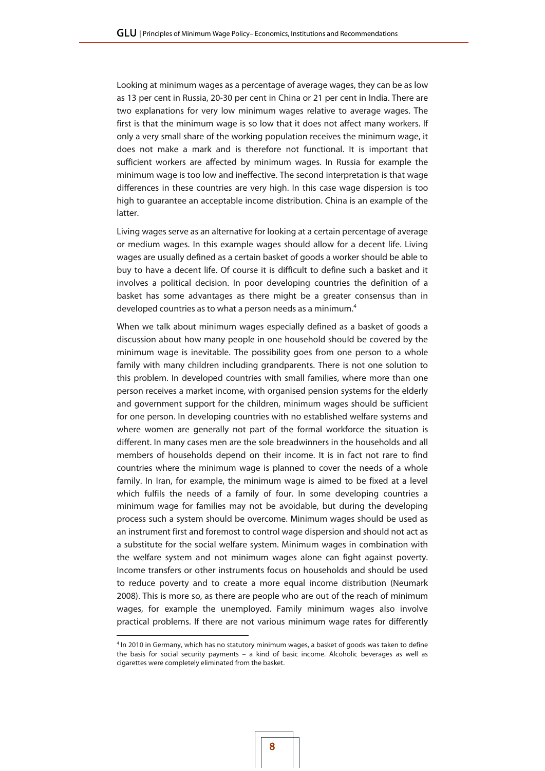Looking at minimum wages as a percentage of average wages, they can be as low as 13 per cent in Russia, 20-30 per cent in China or 21 per cent in India. There are two explanations for very low minimum wages relative to average wages. The first is that the minimum wage is so low that it does not affect many workers. If only a very small share of the working population receives the minimum wage, it does not make a mark and is therefore not functional. It is important that sufficient workers are affected by minimum wages. In Russia for example the minimum wage is too low and ineffective. The second interpretation is that wage differences in these countries are very high. In this case wage dispersion is too high to guarantee an acceptable income distribution. China is an example of the latter.

Living wages serve as an alternative for looking at a certain percentage of average or medium wages. In this example wages should allow for a decent life. Living wages are usually defined as a certain basket of goods a worker should be able to buy to have a decent life. Of course it is difficult to define such a basket and it involves a political decision. In poor developing countries the definition of a basket has some advantages as there might be a greater consensus than in developed countries as to what a person needs as a minimum.4

When we talk about minimum wages especially defined as a basket of goods a discussion about how many people in one household should be covered by the minimum wage is inevitable. The possibility goes from one person to a whole family with many children including grandparents. There is not one solution to this problem. In developed countries with small families, where more than one person receives a market income, with organised pension systems for the elderly and government support for the children, minimum wages should be sufficient for one person. In developing countries with no established welfare systems and where women are generally not part of the formal workforce the situation is different. In many cases men are the sole breadwinners in the households and all members of households depend on their income. It is in fact not rare to find countries where the minimum wage is planned to cover the needs of a whole family. In Iran, for example, the minimum wage is aimed to be fixed at a level which fulfils the needs of a family of four. In some developing countries a minimum wage for families may not be avoidable, but during the developing process such a system should be overcome. Minimum wages should be used as an instrument first and foremost to control wage dispersion and should not act as a substitute for the social welfare system. Minimum wages in combination with the welfare system and not minimum wages alone can fight against poverty. Income transfers or other instruments focus on households and should be used to reduce poverty and to create a more equal income distribution (Neumark 2008). This is more so, as there are people who are out of the reach of minimum wages, for example the unemployed. Family minimum wages also involve practical problems. If there are not various minimum wage rates for differently

 $\overline{a}$ 

<sup>&</sup>lt;sup>4</sup> In 2010 in Germany, which has no statutory minimum wages, a basket of goods was taken to define the basis for social security payments – a kind of basic income. Alcoholic beverages as well as cigarettes were completely eliminated from the basket.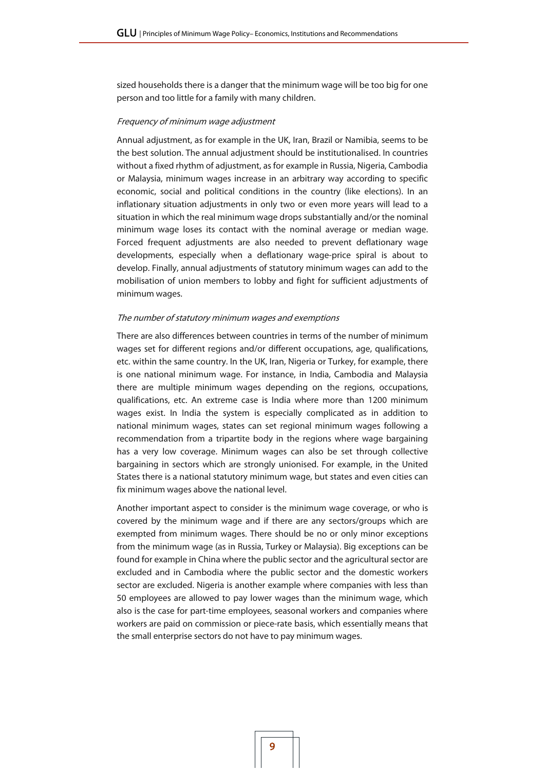sized households there is a danger that the minimum wage will be too big for one person and too little for a family with many children.

#### Frequency of minimum wage adjustment

Annual adjustment, as for example in the UK, Iran, Brazil or Namibia, seems to be the best solution. The annual adjustment should be institutionalised. In countries without a fixed rhythm of adjustment, as for example in Russia, Nigeria, Cambodia or Malaysia, minimum wages increase in an arbitrary way according to specific economic, social and political conditions in the country (like elections). In an inflationary situation adjustments in only two or even more years will lead to a situation in which the real minimum wage drops substantially and/or the nominal minimum wage loses its contact with the nominal average or median wage. Forced frequent adjustments are also needed to prevent deflationary wage developments, especially when a deflationary wage-price spiral is about to develop. Finally, annual adjustments of statutory minimum wages can add to the mobilisation of union members to lobby and fight for sufficient adjustments of minimum wages.

#### The number of statutory minimum wages and exemptions

There are also differences between countries in terms of the number of minimum wages set for different regions and/or different occupations, age, qualifications, etc. within the same country. In the UK, Iran, Nigeria or Turkey, for example, there is one national minimum wage. For instance, in India, Cambodia and Malaysia there are multiple minimum wages depending on the regions, occupations, qualifications, etc. An extreme case is India where more than 1200 minimum wages exist. In India the system is especially complicated as in addition to national minimum wages, states can set regional minimum wages following a recommendation from a tripartite body in the regions where wage bargaining has a very low coverage. Minimum wages can also be set through collective bargaining in sectors which are strongly unionised. For example, in the United States there is a national statutory minimum wage, but states and even cities can fix minimum wages above the national level.

Another important aspect to consider is the minimum wage coverage, or who is covered by the minimum wage and if there are any sectors/groups which are exempted from minimum wages. There should be no or only minor exceptions from the minimum wage (as in Russia, Turkey or Malaysia). Big exceptions can be found for example in China where the public sector and the agricultural sector are excluded and in Cambodia where the public sector and the domestic workers sector are excluded. Nigeria is another example where companies with less than 50 employees are allowed to pay lower wages than the minimum wage, which also is the case for part-time employees, seasonal workers and companies where workers are paid on commission or piece-rate basis, which essentially means that the small enterprise sectors do not have to pay minimum wages.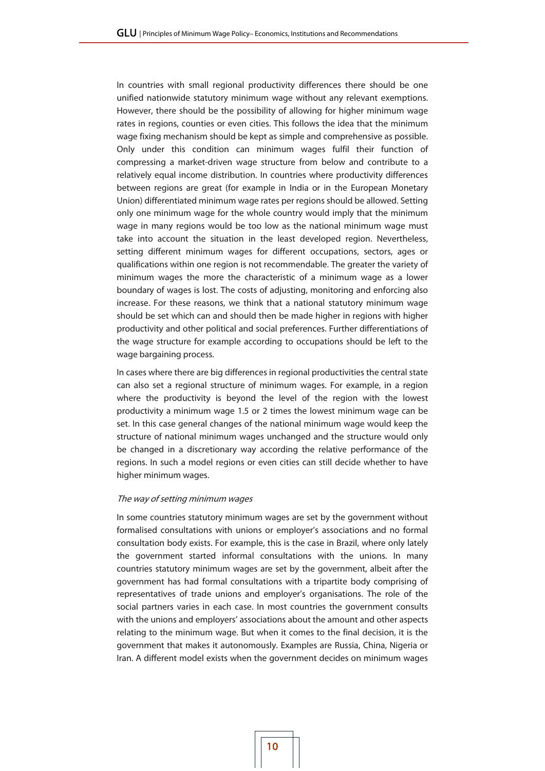In countries with small regional productivity differences there should be one unified nationwide statutory minimum wage without any relevant exemptions. However, there should be the possibility of allowing for higher minimum wage rates in regions, counties or even cities. This follows the idea that the minimum wage fixing mechanism should be kept as simple and comprehensive as possible. Only under this condition can minimum wages fulfil their function of compressing a market-driven wage structure from below and contribute to a relatively equal income distribution. In countries where productivity differences between regions are great (for example in India or in the European Monetary Union) differentiated minimum wage rates per regions should be allowed. Setting only one minimum wage for the whole country would imply that the minimum wage in many regions would be too low as the national minimum wage must take into account the situation in the least developed region. Nevertheless, setting different minimum wages for different occupations, sectors, ages or qualifications within one region is not recommendable. The greater the variety of minimum wages the more the characteristic of a minimum wage as a lower boundary of wages is lost. The costs of adjusting, monitoring and enforcing also increase. For these reasons, we think that a national statutory minimum wage should be set which can and should then be made higher in regions with higher productivity and other political and social preferences. Further differentiations of the wage structure for example according to occupations should be left to the wage bargaining process.

In cases where there are big differences in regional productivities the central state can also set a regional structure of minimum wages. For example, in a region where the productivity is beyond the level of the region with the lowest productivity a minimum wage 1.5 or 2 times the lowest minimum wage can be set. In this case general changes of the national minimum wage would keep the structure of national minimum wages unchanged and the structure would only be changed in a discretionary way according the relative performance of the regions. In such a model regions or even cities can still decide whether to have higher minimum wages.

#### The way of setting minimum wages

In some countries statutory minimum wages are set by the government without formalised consultations with unions or employer's associations and no formal consultation body exists. For example, this is the case in Brazil, where only lately the government started informal consultations with the unions. In many countries statutory minimum wages are set by the government, albeit after the government has had formal consultations with a tripartite body comprising of representatives of trade unions and employer's organisations. The role of the social partners varies in each case. In most countries the government consults with the unions and employers' associations about the amount and other aspects relating to the minimum wage. But when it comes to the final decision, it is the government that makes it autonomously. Examples are Russia, China, Nigeria or Iran. A different model exists when the government decides on minimum wages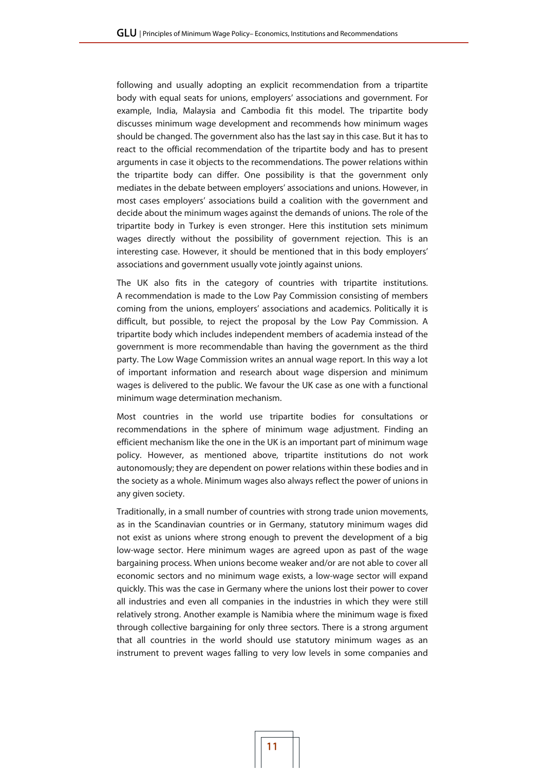following and usually adopting an explicit recommendation from a tripartite body with equal seats for unions, employers' associations and government. For example, India, Malaysia and Cambodia fit this model. The tripartite body discusses minimum wage development and recommends how minimum wages should be changed. The government also has the last say in this case. But it has to react to the official recommendation of the tripartite body and has to present arguments in case it objects to the recommendations. The power relations within the tripartite body can differ. One possibility is that the government only mediates in the debate between employers' associations and unions. However, in most cases employers' associations build a coalition with the government and decide about the minimum wages against the demands of unions. The role of the tripartite body in Turkey is even stronger. Here this institution sets minimum wages directly without the possibility of government rejection. This is an interesting case. However, it should be mentioned that in this body employers' associations and government usually vote jointly against unions.

The UK also fits in the category of countries with tripartite institutions. A recommendation is made to the Low Pay Commission consisting of members coming from the unions, employers' associations and academics. Politically it is difficult, but possible, to reject the proposal by the Low Pay Commission. A tripartite body which includes independent members of academia instead of the government is more recommendable than having the government as the third party. The Low Wage Commission writes an annual wage report. In this way a lot of important information and research about wage dispersion and minimum wages is delivered to the public. We favour the UK case as one with a functional minimum wage determination mechanism.

Most countries in the world use tripartite bodies for consultations or recommendations in the sphere of minimum wage adjustment. Finding an efficient mechanism like the one in the UK is an important part of minimum wage policy. However, as mentioned above, tripartite institutions do not work autonomously; they are dependent on power relations within these bodies and in the society as a whole. Minimum wages also always reflect the power of unions in any given society.

Traditionally, in a small number of countries with strong trade union movements, as in the Scandinavian countries or in Germany, statutory minimum wages did not exist as unions where strong enough to prevent the development of a big low-wage sector. Here minimum wages are agreed upon as past of the wage bargaining process. When unions become weaker and/or are not able to cover all economic sectors and no minimum wage exists, a low-wage sector will expand quickly. This was the case in Germany where the unions lost their power to cover all industries and even all companies in the industries in which they were still relatively strong. Another example is Namibia where the minimum wage is fixed through collective bargaining for only three sectors. There is a strong argument that all countries in the world should use statutory minimum wages as an instrument to prevent wages falling to very low levels in some companies and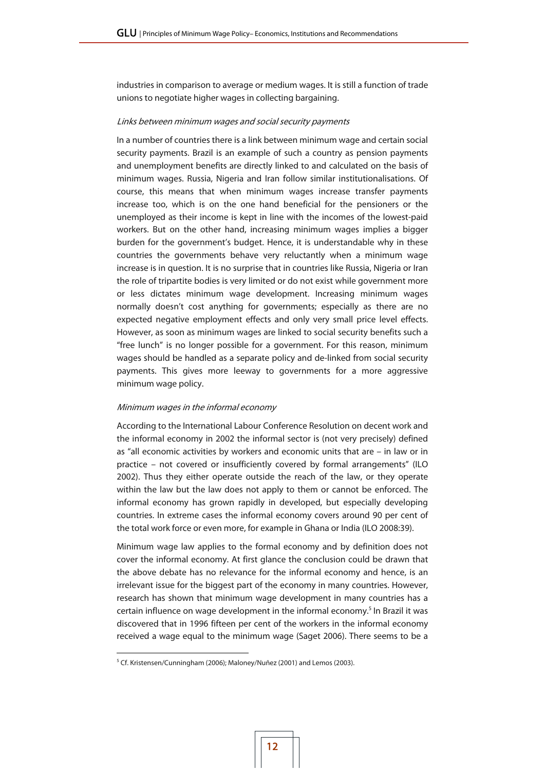industries in comparison to average or medium wages. It is still a function of trade unions to negotiate higher wages in collecting bargaining.

#### Links between minimum wages and social security payments

In a number of countries there is a link between minimum wage and certain social security payments. Brazil is an example of such a country as pension payments and unemployment benefits are directly linked to and calculated on the basis of minimum wages. Russia, Nigeria and Iran follow similar institutionalisations. Of course, this means that when minimum wages increase transfer payments increase too, which is on the one hand beneficial for the pensioners or the unemployed as their income is kept in line with the incomes of the lowest-paid workers. But on the other hand, increasing minimum wages implies a bigger burden for the government's budget. Hence, it is understandable why in these countries the governments behave very reluctantly when a minimum wage increase is in question. It is no surprise that in countries like Russia, Nigeria or Iran the role of tripartite bodies is very limited or do not exist while government more or less dictates minimum wage development. Increasing minimum wages normally doesn't cost anything for governments; especially as there are no expected negative employment effects and only very small price level effects. However, as soon as minimum wages are linked to social security benefits such a "free lunch" is no longer possible for a government. For this reason, minimum wages should be handled as a separate policy and de-linked from social security payments. This gives more leeway to governments for a more aggressive minimum wage policy.

#### Minimum wages in the informal economy

According to the International Labour Conference Resolution on decent work and the informal economy in 2002 the informal sector is (not very precisely) defined as "all economic activities by workers and economic units that are – in law or in practice – not covered or insufficiently covered by formal arrangements" (ILO 2002). Thus they either operate outside the reach of the law, or they operate within the law but the law does not apply to them or cannot be enforced. The informal economy has grown rapidly in developed, but especially developing countries. In extreme cases the informal economy covers around 90 per cent of the total work force or even more, for example in Ghana or India (ILO 2008:39).

Minimum wage law applies to the formal economy and by definition does not cover the informal economy. At first glance the conclusion could be drawn that the above debate has no relevance for the informal economy and hence, is an irrelevant issue for the biggest part of the economy in many countries. However, research has shown that minimum wage development in many countries has a certain influence on wage development in the informal economy.<sup>5</sup> In Brazil it was discovered that in 1996 fifteen per cent of the workers in the informal economy received a wage equal to the minimum wage (Saget 2006). There seems to be a

 $\overline{a}$ 

<sup>&</sup>lt;sup>5</sup> Cf. Kristensen/Cunningham (2006); Maloney/Nuñez (2001) and Lemos (2003).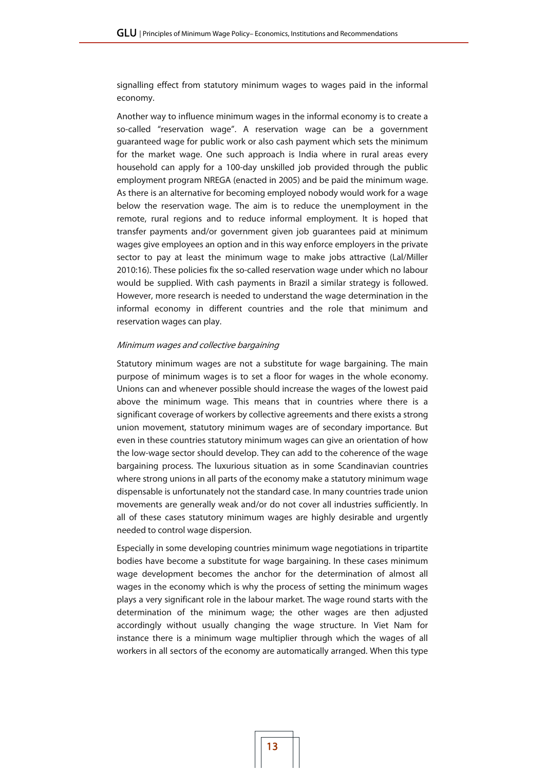signalling effect from statutory minimum wages to wages paid in the informal economy.

Another way to influence minimum wages in the informal economy is to create a so-called "reservation wage". A reservation wage can be a government guaranteed wage for public work or also cash payment which sets the minimum for the market wage. One such approach is India where in rural areas every household can apply for a 100-day unskilled job provided through the public employment program NREGA (enacted in 2005) and be paid the minimum wage. As there is an alternative for becoming employed nobody would work for a wage below the reservation wage. The aim is to reduce the unemployment in the remote, rural regions and to reduce informal employment. It is hoped that transfer payments and/or government given job guarantees paid at minimum wages give employees an option and in this way enforce employers in the private sector to pay at least the minimum wage to make jobs attractive (Lal/Miller 2010:16). These policies fix the so-called reservation wage under which no labour would be supplied. With cash payments in Brazil a similar strategy is followed. However, more research is needed to understand the wage determination in the informal economy in different countries and the role that minimum and reservation wages can play.

#### Minimum wages and collective bargaining

Statutory minimum wages are not a substitute for wage bargaining. The main purpose of minimum wages is to set a floor for wages in the whole economy. Unions can and whenever possible should increase the wages of the lowest paid above the minimum wage. This means that in countries where there is a significant coverage of workers by collective agreements and there exists a strong union movement, statutory minimum wages are of secondary importance. But even in these countries statutory minimum wages can give an orientation of how the low-wage sector should develop. They can add to the coherence of the wage bargaining process. The luxurious situation as in some Scandinavian countries where strong unions in all parts of the economy make a statutory minimum wage dispensable is unfortunately not the standard case. In many countries trade union movements are generally weak and/or do not cover all industries sufficiently. In all of these cases statutory minimum wages are highly desirable and urgently needed to control wage dispersion.

Especially in some developing countries minimum wage negotiations in tripartite bodies have become a substitute for wage bargaining. In these cases minimum wage development becomes the anchor for the determination of almost all wages in the economy which is why the process of setting the minimum wages plays a very significant role in the labour market. The wage round starts with the determination of the minimum wage; the other wages are then adjusted accordingly without usually changing the wage structure. In Viet Nam for instance there is a minimum wage multiplier through which the wages of all workers in all sectors of the economy are automatically arranged. When this type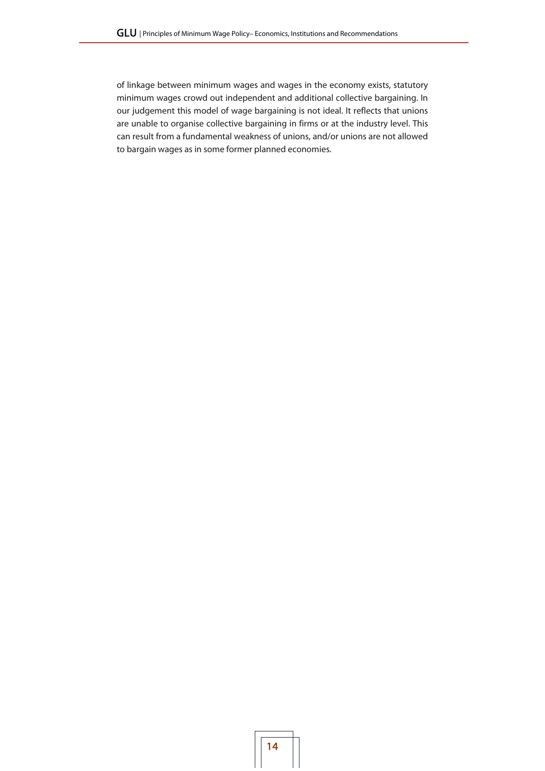of linkage between minimum wages and wages in the economy exists, statutory minimum wages crowd out independent and additional collective bargaining. In our judgement this model of wage bargaining is not ideal. It reflects that unions are unable to organise collective bargaining in firms or at the industry level. This can result from a fundamental weakness of unions, and/or unions are not allowed to bargain wages as in some former planned economies.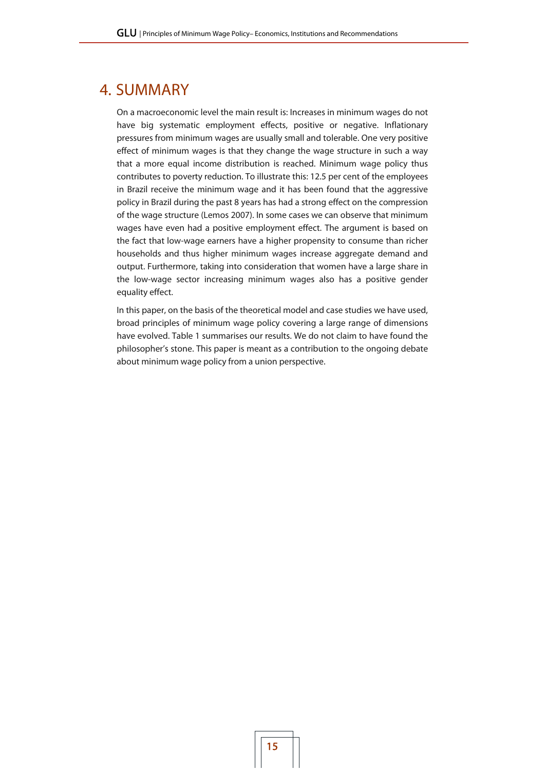## 4. SUMMARY

On a macroeconomic level the main result is: Increases in minimum wages do not have big systematic employment effects, positive or negative. Inflationary pressures from minimum wages are usually small and tolerable. One very positive effect of minimum wages is that they change the wage structure in such a way that a more equal income distribution is reached. Minimum wage policy thus contributes to poverty reduction. To illustrate this: 12.5 per cent of the employees in Brazil receive the minimum wage and it has been found that the aggressive policy in Brazil during the past 8 years has had a strong effect on the compression of the wage structure (Lemos 2007). In some cases we can observe that minimum wages have even had a positive employment effect. The argument is based on the fact that low-wage earners have a higher propensity to consume than richer households and thus higher minimum wages increase aggregate demand and output. Furthermore, taking into consideration that women have a large share in the low-wage sector increasing minimum wages also has a positive gender equality effect.

In this paper, on the basis of the theoretical model and case studies we have used, broad principles of minimum wage policy covering a large range of dimensions have evolved. Table 1 summarises our results. We do not claim to have found the philosopher's stone. This paper is meant as a contribution to the ongoing debate about minimum wage policy from a union perspective.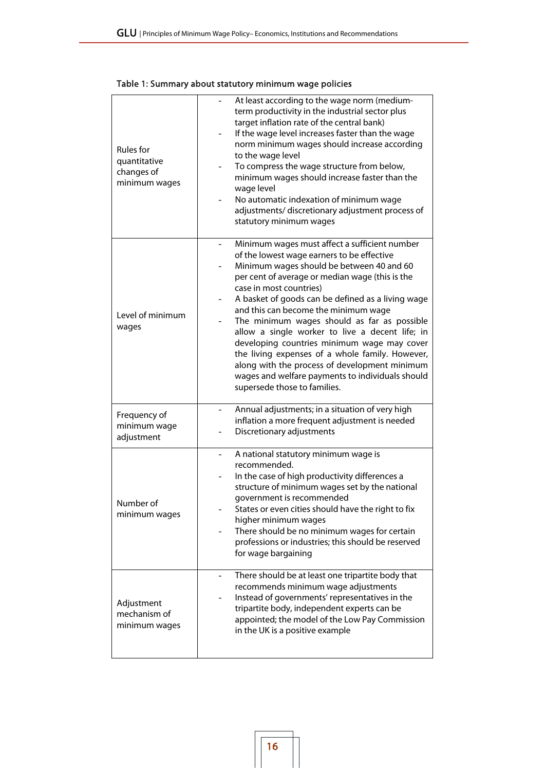#### Rules for quantitative changes of minimum wages At least according to the wage norm (mediumterm productivity in the industrial sector plus target inflation rate of the central bank) If the wage level increases faster than the wage norm minimum wages should increase according to the wage level To compress the wage structure from below, minimum wages should increase faster than the wage level - No automatic indexation of minimum wage adjustments/ discretionary adjustment process of statutory minimum wages Level of minimum wages Minimum wages must affect a sufficient number of the lowest wage earners to be effective Minimum wages should be between 40 and 60 per cent of average or median wage (this is the case in most countries) A basket of goods can be defined as a living wage and this can become the minimum wage The minimum wages should as far as possible allow a single worker to live a decent life; in developing countries minimum wage may cover the living expenses of a whole family. However, along with the process of development minimum wages and welfare payments to individuals should supersede those to families. Frequency of minimum wage adjustment Annual adjustments; in a situation of very high inflation a more frequent adjustment is needed Discretionary adjustments Number of minimum wages A national statutory minimum wage is recommended. In the case of high productivity differences a structure of minimum wages set by the national government is recommended States or even cities should have the right to fix higher minimum wages There should be no minimum wages for certain professions or industries; this should be reserved for wage bargaining Adjustment mechanism of minimum wages There should be at least one tripartite body that recommends minimum wage adjustments Instead of governments' representatives in the tripartite body, independent experts can be appointed; the model of the Low Pay Commission in the UK is a positive example

#### Table 1: Summary about statutory minimum wage policies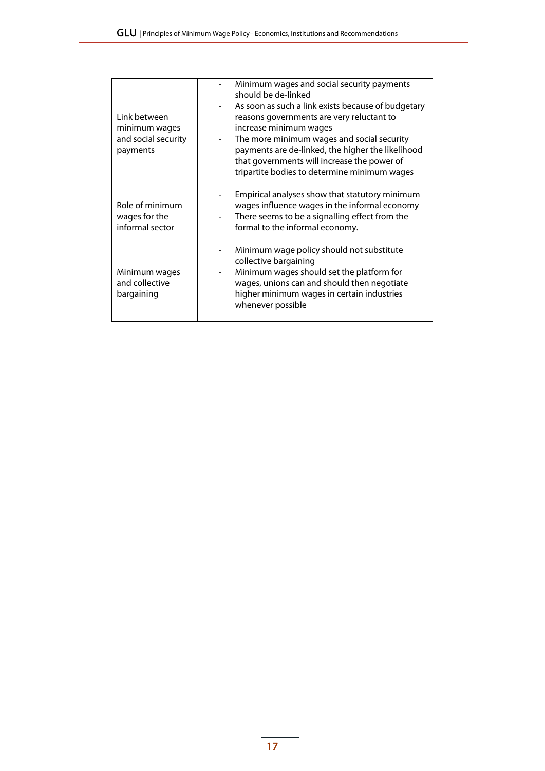| Link between<br>minimum wages<br>and social security<br>payments | Minimum wages and social security payments<br>should be de-linked<br>As soon as such a link exists because of budgetary<br>reasons governments are very reluctant to<br>increase minimum wages<br>The more minimum wages and social security<br>$\overline{\phantom{0}}$<br>payments are de-linked, the higher the likelihood<br>that governments will increase the power of<br>tripartite bodies to determine minimum wages |
|------------------------------------------------------------------|------------------------------------------------------------------------------------------------------------------------------------------------------------------------------------------------------------------------------------------------------------------------------------------------------------------------------------------------------------------------------------------------------------------------------|
| Role of minimum<br>wages for the<br>informal sector              | Empirical analyses show that statutory minimum<br>wages influence wages in the informal economy<br>There seems to be a signalling effect from the<br>formal to the informal economy.                                                                                                                                                                                                                                         |
| Minimum wages<br>and collective<br>bargaining                    | Minimum wage policy should not substitute<br>collective bargaining<br>Minimum wages should set the platform for<br>wages, unions can and should then negotiate<br>higher minimum wages in certain industries<br>whenever possible                                                                                                                                                                                            |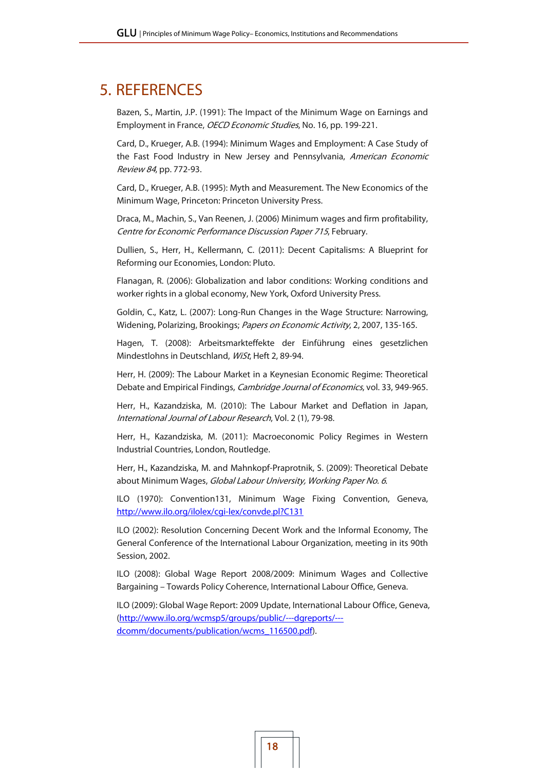## 5. REFERENCES

Bazen, S., Martin, J.P. (1991): The Impact of the Minimum Wage on Earnings and Employment in France, OECD Economic Studies, No. 16, pp. 199-221.

Card, D., Krueger, A.B. (1994): Minimum Wages and Employment: A Case Study of the Fast Food Industry in New Jersey and Pennsylvania, American Economic Review 84, pp. 772-93.

Card, D., Krueger, A.B. (1995): Myth and Measurement. The New Economics of the Minimum Wage, Princeton: Princeton University Press.

Draca, M., Machin, S., Van Reenen, J. (2006) Minimum wages and firm profitability, Centre for Economic Performance Discussion Paper 715, February.

Dullien, S., Herr, H., Kellermann, C. (2011): Decent Capitalisms: A Blueprint for Reforming our Economies, London: Pluto.

Flanagan, R. (2006): Globalization and labor conditions: Working conditions and worker rights in a global economy, New York, Oxford University Press.

Goldin, C., Katz, L. (2007): Long-Run Changes in the Wage Structure: Narrowing, Widening, Polarizing, Brookings; Papers on Economic Activity, 2, 2007, 135-165.

Hagen, T. (2008): Arbeitsmarkteffekte der Einführung eines gesetzlichen Mindestlohns in Deutschland, WiSt, Heft 2, 89-94.

Herr, H. (2009): The Labour Market in a Keynesian Economic Regime: Theoretical Debate and Empirical Findings, Cambridge Journal of Economics, vol. 33, 949-965.

Herr, H., Kazandziska, M. (2010): The Labour Market and Deflation in Japan, International Journal of Labour Research, Vol. 2 (1), 79-98.

Herr, H., Kazandziska, M. (2011): Macroeconomic Policy Regimes in Western Industrial Countries, London, Routledge.

Herr, H., Kazandziska, M. and Mahnkopf-Praprotnik, S. (2009): Theoretical Debate about Minimum Wages, Global Labour University, Working Paper No. 6.

ILO (1970): Convention131, Minimum Wage Fixing Convention, Geneva, http://www.ilo.org/ilolex/cgi-lex/convde.pl?C131

ILO (2002): Resolution Concerning Decent Work and the Informal Economy, The General Conference of the International Labour Organization, meeting in its 90th Session, 2002.

ILO (2008): Global Wage Report 2008/2009: Minimum Wages and Collective Bargaining – Towards Policy Coherence, International Labour Office, Geneva.

ILO (2009): Global Wage Report: 2009 Update, International Labour Office, Geneva, (http://www.ilo.org/wcmsp5/groups/public/---dgreports/-- dcomm/documents/publication/wcms\_116500.pdf).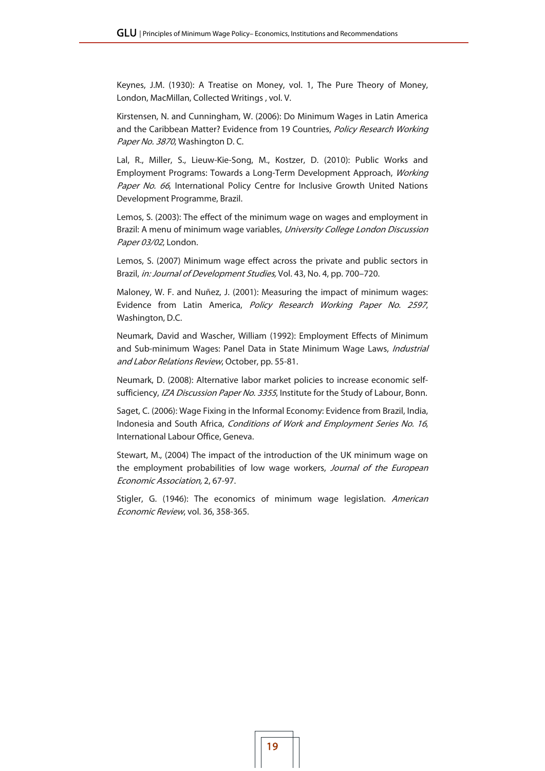Keynes, J.M. (1930): A Treatise on Money, vol. 1, The Pure Theory of Money, London, MacMillan, Collected Writings , vol. V.

Kirstensen, N. and Cunningham, W. (2006): Do Minimum Wages in Latin America and the Caribbean Matter? Evidence from 19 Countries, Policy Research Working Paper No. 3870, Washington D.C.

Lal, R., Miller, S., Lieuw-Kie-Song, M., Kostzer, D. (2010): Public Works and Employment Programs: Towards a Long-Term Development Approach, Working Paper No. 66, International Policy Centre for Inclusive Growth United Nations Development Programme, Brazil.

Lemos, S. (2003): The effect of the minimum wage on wages and employment in Brazil: A menu of minimum wage variables, University College London Discussion Paper 03/02, London.

Lemos, S. (2007) Minimum wage effect across the private and public sectors in Brazil, in: Journal of Development Studies, Vol. 43, No. 4, pp. 700–720.

Maloney, W. F. and Nuñez, J. (2001): Measuring the impact of minimum wages: Evidence from Latin America, Policy Research Working Paper No. 2597, Washington, D.C.

Neumark, David and Wascher, William (1992): Employment Effects of Minimum and Sub-minimum Wages: Panel Data in State Minimum Wage Laws, Industrial and Labor Relations Review, October, pp. 55-81.

Neumark, D. (2008): Alternative labor market policies to increase economic selfsufficiency, IZA Discussion Paper No. 3355, Institute for the Study of Labour, Bonn.

Saget, C. (2006): Wage Fixing in the Informal Economy: Evidence from Brazil, India, Indonesia and South Africa, Conditions of Work and Employment Series No. 16, International Labour Office, Geneva.

Stewart, M., (2004) The impact of the introduction of the UK minimum wage on the employment probabilities of low wage workers, Journal of the European Economic Association, 2, 67-97.

Stigler, G. (1946): The economics of minimum wage legislation. American Economic Review, vol. 36, 358-365.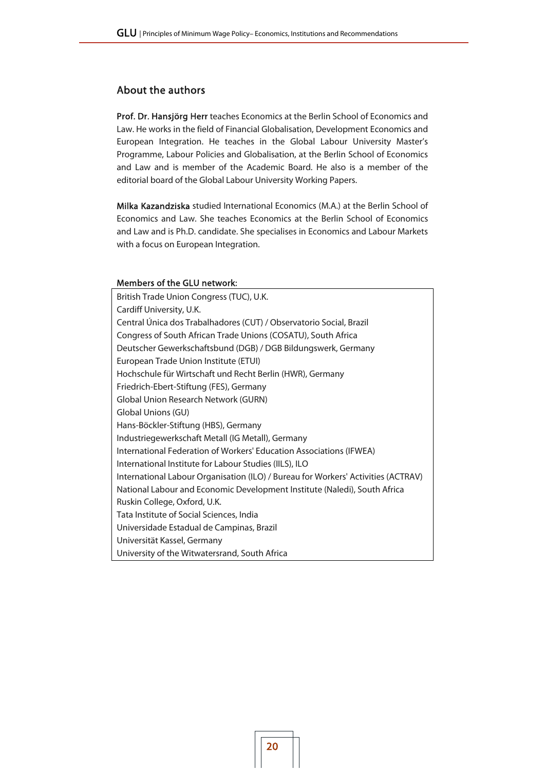### About the authors

Prof. Dr. Hansjörg Herr teaches Economics at the Berlin School of Economics and Law. He works in the field of Financial Globalisation, Development Economics and European Integration. He teaches in the Global Labour University Master's Programme, Labour Policies and Globalisation, at the Berlin School of Economics and Law and is member of the Academic Board. He also is a member of the editorial board of the Global Labour University Working Papers.

Milka Kazandziska studied International Economics (M.A.) at the Berlin School of Economics and Law. She teaches Economics at the Berlin School of Economics and Law and is Ph.D. candidate. She specialises in Economics and Labour Markets with a focus on European Integration.

#### Members of the GLU network:

| British Trade Union Congress (TUC), U.K.                                          |
|-----------------------------------------------------------------------------------|
| Cardiff University, U.K.                                                          |
| Central Única dos Trabalhadores (CUT) / Observatorio Social, Brazil               |
| Congress of South African Trade Unions (COSATU), South Africa                     |
| Deutscher Gewerkschaftsbund (DGB) / DGB Bildungswerk, Germany                     |
| European Trade Union Institute (ETUI)                                             |
| Hochschule für Wirtschaft und Recht Berlin (HWR), Germany                         |
| Friedrich-Ebert-Stiftung (FES), Germany                                           |
| Global Union Research Network (GURN)                                              |
| Global Unions (GU)                                                                |
| Hans-Böckler-Stiftung (HBS), Germany                                              |
| Industriegewerkschaft Metall (IG Metall), Germany                                 |
| International Federation of Workers' Education Associations (IFWEA)               |
| International Institute for Labour Studies (IILS), ILO                            |
| International Labour Organisation (ILO) / Bureau for Workers' Activities (ACTRAV) |
| National Labour and Economic Development Institute (Naledi), South Africa         |
| Ruskin College, Oxford, U.K.                                                      |
| Tata Institute of Social Sciences, India                                          |
| Universidade Estadual de Campinas, Brazil                                         |
| Universität Kassel, Germany                                                       |
| University of the Witwatersrand, South Africa                                     |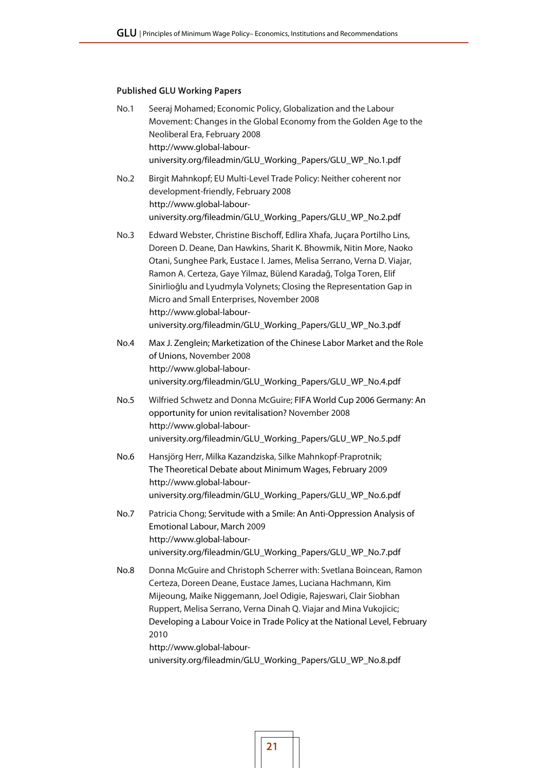### Published GLU Working Papers

| No.1 | Seeraj Mohamed; Economic Policy, Globalization and the Labour<br>Movement: Changes in the Global Economy from the Golden Age to the<br>Neoliberal Era, February 2008<br>http://www.global-labour-<br>university.org/fileadmin/GLU_Working_Papers/GLU_WP_No.1.pdf                                                                                                                                                                                                                                               |
|------|----------------------------------------------------------------------------------------------------------------------------------------------------------------------------------------------------------------------------------------------------------------------------------------------------------------------------------------------------------------------------------------------------------------------------------------------------------------------------------------------------------------|
| No.2 | Birgit Mahnkopf; EU Multi-Level Trade Policy: Neither coherent nor<br>development-friendly, February 2008<br>http://www.global-labour-<br>university.org/fileadmin/GLU_Working_Papers/GLU_WP_No.2.pdf                                                                                                                                                                                                                                                                                                          |
| No.3 | Edward Webster, Christine Bischoff, Edlira Xhafa, Juçara Portilho Lins,<br>Doreen D. Deane, Dan Hawkins, Sharit K. Bhowmik, Nitin More, Naoko<br>Otani, Sunghee Park, Eustace I. James, Melisa Serrano, Verna D. Viajar,<br>Ramon A. Certeza, Gaye Yilmaz, Bülend Karadağ, Tolga Toren, Elif<br>Sinirlioğlu and Lyudmyla Volynets; Closing the Representation Gap in<br>Micro and Small Enterprises, November 2008<br>http://www.global-labour-<br>university.org/fileadmin/GLU_Working_Papers/GLU_WP_No.3.pdf |
| No.4 | Max J. Zenglein; Marketization of the Chinese Labor Market and the Role<br>of Unions, November 2008<br>http://www.global-labour-<br>university.org/fileadmin/GLU_Working_Papers/GLU_WP_No.4.pdf                                                                                                                                                                                                                                                                                                                |
| No.5 | Wilfried Schwetz and Donna McGuire; FIFA World Cup 2006 Germany: An<br>opportunity for union revitalisation? November 2008<br>http://www.global-labour-<br>university.org/fileadmin/GLU_Working_Papers/GLU_WP_No.5.pdf                                                                                                                                                                                                                                                                                         |
| No.6 | Hansjörg Herr, Milka Kazandziska, Silke Mahnkopf-Praprotnik;<br>The Theoretical Debate about Minimum Wages, February 2009<br>http://www.global-labour-<br>university.org/fileadmin/GLU_Working_Papers/GLU_WP_No.6.pdf                                                                                                                                                                                                                                                                                          |
| No.7 | Patricia Chong; Servitude with a Smile: An Anti-Oppression Analysis of<br>Emotional Labour, March 2009<br>http://www.global-labour-<br>university.org/fileadmin/GLU_Working_Papers/GLU_WP_No.7.pdf                                                                                                                                                                                                                                                                                                             |
| No.8 | Donna McGuire and Christoph Scherrer with: Svetlana Boincean, Ramon<br>Certeza, Doreen Deane, Eustace James, Luciana Hachmann, Kim<br>Mijeoung, Maike Niggemann, Joel Odigie, Rajeswari, Clair Siobhan<br>Ruppert, Melisa Serrano, Verna Dinah Q. Viajar and Mina Vukojicic;<br>Developing a Labour Voice in Trade Policy at the National Level, February<br>2010<br>http://www.global-labour-<br>university.org/fileadmin/GLU_Working_Papers/GLU_WP_No.8.pdf                                                  |
|      |                                                                                                                                                                                                                                                                                                                                                                                                                                                                                                                |